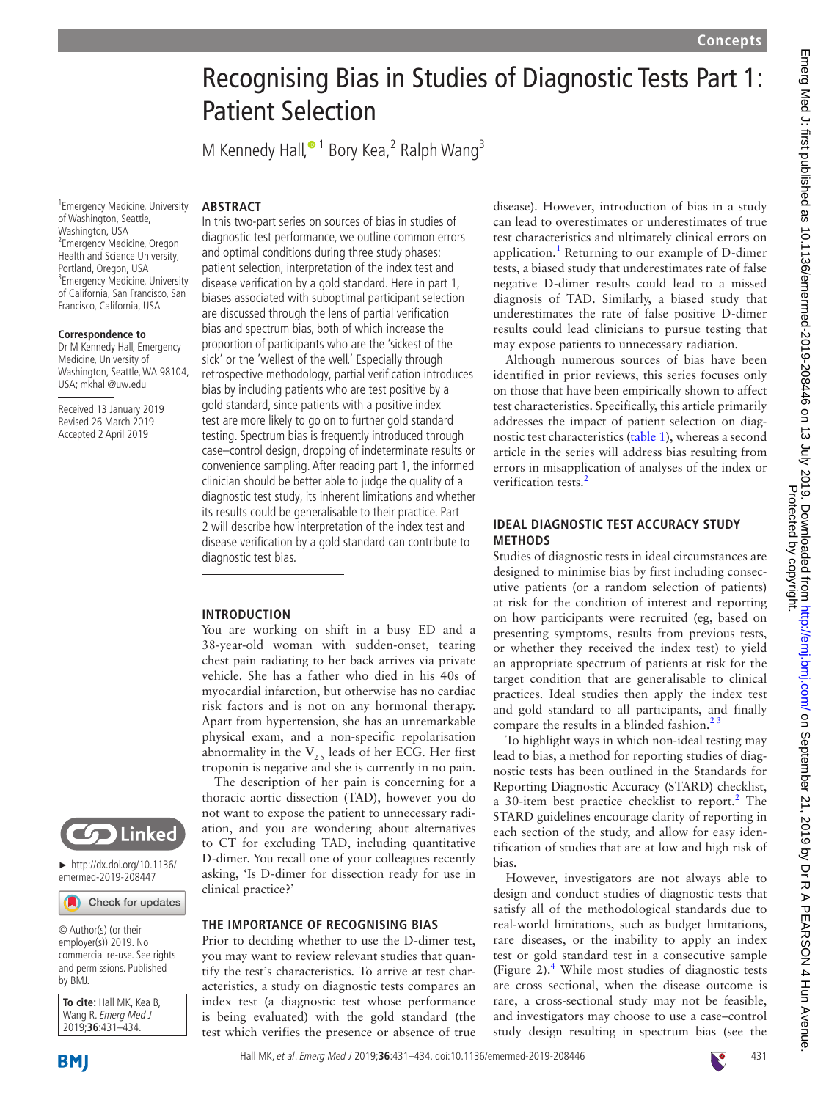# Recognising Bias in Studies of Diagnostic Tests Part 1: Patient Selection

M Kennedy Hall[,](http://orcid.org/0000-0002-0803-1552)<sup>•1</sup> Bory Kea,<sup>2</sup> Ralph Wang<sup>3</sup>

In this two-part series on sources of bias in studies of diagnostic test performance, we outline common errors and optimal conditions during three study phases: patient selection, interpretation of the index test and disease verification by a gold standard. Here in part 1, biases associated with suboptimal participant selection are discussed through the lens of partial verification bias and spectrum bias, both of which increase the proportion of participants who are the 'sickest of the sick' or the 'wellest of the well.' Especially through retrospective methodology, partial verification introduces bias by including patients who are test positive by a gold standard, since patients with a positive index test are more likely to go on to further gold standard testing. Spectrum bias is frequently introduced through case–control design, dropping of indeterminate results or convenience sampling. After reading part 1, the informed clinician should be better able to judge the quality of a diagnostic test study, its inherent limitations and whether its results could be generalisable to their practice. Part 2 will describe how interpretation of the index test and disease verification by a gold standard can contribute to

You are working on shift in a busy ED and a 38-year-old woman with sudden-onset, tearing chest pain radiating to her back arrives via private vehicle. She has a father who died in his 40s of myocardial infarction, but otherwise has no cardiac risk factors and is not on any hormonal therapy. Apart from hypertension, she has an unremarkable physical exam, and a non-specific repolarisation abnormality in the  $V_{2.5}$  leads of her ECG. Her first troponin is negative and she is currently in no pain. The description of her pain is concerning for a thoracic aortic dissection (TAD), however you do not want to expose the patient to unnecessary radiation, and you are wondering about alternatives to CT for excluding TAD, including quantitative D-dimer. You recall one of your colleagues recently asking, 'Is D-dimer for dissection ready for use in

**THE IMPORTANCE OF RECOGNISING BIAS** Prior to deciding whether to use the D-dimer test, you may want to review relevant studies that quantify the test's characteristics. To arrive at test characteristics, a study on diagnostic tests compares an index test (a diagnostic test whose performance is being evaluated) with the gold standard (the

1 Emergency Medicine, University of Washington, Seattle, Washington, USA 2 Emergency Medicine, Oregon Health and Science University, Portland, Oregon, USA <sup>3</sup> Emergency Medicine, University of California, San Francisco, San Francisco, California, USA

**ARSTRACT** 

diagnostic test bias.

**Introduction**

clinical practice?'

#### **Correspondence to**

Dr M Kennedy Hall, Emergency Medicine, University of Washington, Seattle, WA 98104, USA; mkhall@uw.edu

Received 13 January 2019 Revised 26 March 2019 Accepted 2 April 2019



► [http://dx.doi.org/10.1136/](http://dx.doi.org/10.1136/emermed-2019-208447)

Check for updates

© Author(s) (or their employer(s)) 2019. No commercial re-use. See rights and permissions. Published by BMJ.

**To cite:** Hall MK, Kea B, Wang R. Emerg Med J 2019;**36**:431–434.

**BMI** 

test which verifies the presence or absence of true

disease). However, introduction of bias in a study can lead to overestimates or underestimates of true test characteristics and ultimately clinical errors on application.<sup>1</sup> Returning to our example of D-dimer tests, a biased study that underestimates rate of false negative D-dimer results could lead to a missed diagnosis of TAD. Similarly, a biased study that underestimates the rate of false positive D-dimer results could lead clinicians to pursue testing that may expose patients to unnecessary radiation.

Although numerous sources of bias have been identified in prior reviews, this series focuses only on those that have been empirically shown to affect test characteristics. Specifically, this article primarily addresses the impact of patient selection on diagnostic test characteristics ([table](#page-1-0) 1), whereas a second article in the series will address bias resulting from errors in misapplication of analyses of the index or verification tests.<sup>2</sup>

## **Ideal diagnostic test accuracy study methods**

Studies of diagnostic tests in ideal circumstances are designed to minimise bias by first including consecutive patients (or a random selection of patients) at risk for the condition of interest and reporting on how participants were recruited (eg, based on presenting symptoms, results from previous tests, or whether they received the index test) to yield an appropriate spectrum of patients at risk for the target condition that are generalisable to clinical practices. Ideal studies then apply the index test and gold standard to all participants, and finally compare the results in a blinded fashion.<sup>23</sup>

To highlight ways in which non-ideal testing may lead to bias, a method for reporting studies of diagnostic tests has been outlined in the Standards for Reporting Diagnostic Accuracy (STARD) checklist, a 30-item best practice checklist to report.<sup>2</sup> The STARD guidelines encourage clarity of reporting in each section of the study, and allow for easy identification of studies that are at low and high risk of bias.

However, investigators are not always able to design and conduct studies of diagnostic tests that satisfy all of the methodological standards due to real-world limitations, such as budget limitations, rare diseases, or the inability to apply an index test or gold standard test in a consecutive sample (Figure 2).[4](#page-3-2) While most studies of diagnostic tests are cross sectional, when the disease outcome is rare, a cross-sectional study may not be feasible, and investigators may choose to use a case–control study design resulting in spectrum bias (see the







[emermed-2019-208447](http://dx.doi.org/10.1136/emermed-2019-208447)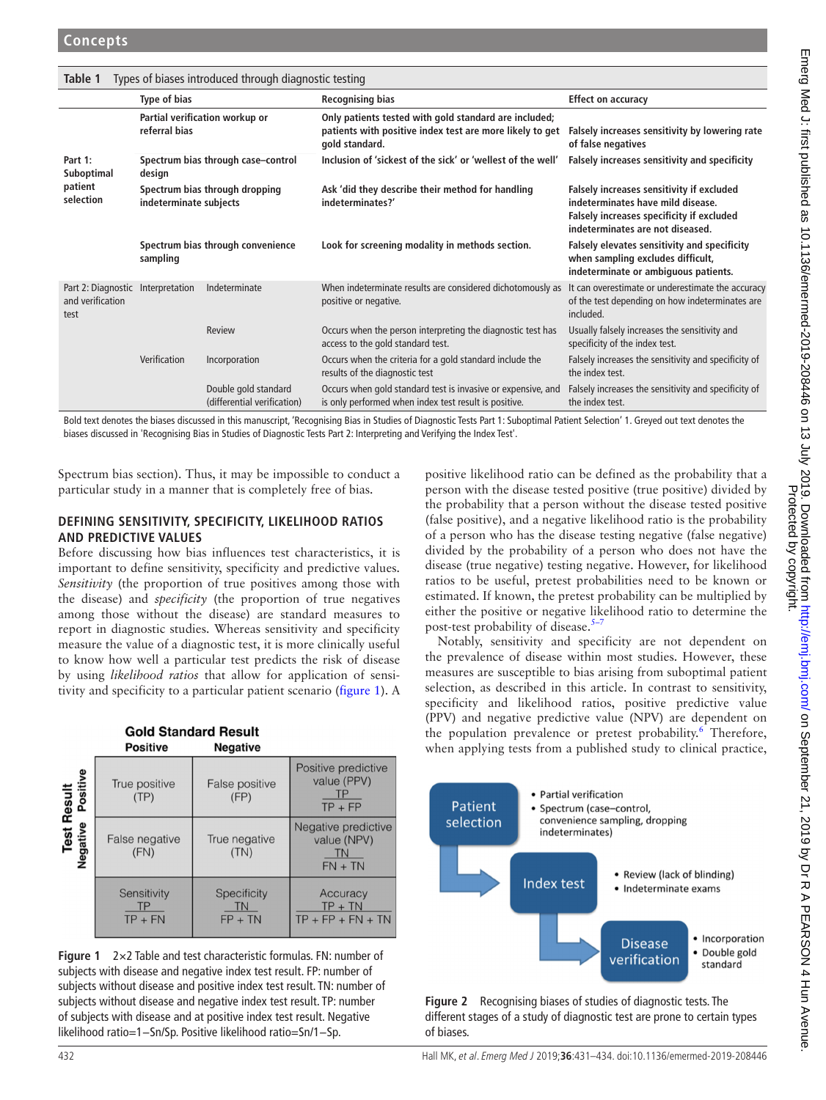<span id="page-1-0"></span>

| Types of biases introduced through diagnostic testing<br>Table 1 |                                                          |                                                     |                                                                                                                                     |                                                                                                                                                                 |  |  |
|------------------------------------------------------------------|----------------------------------------------------------|-----------------------------------------------------|-------------------------------------------------------------------------------------------------------------------------------------|-----------------------------------------------------------------------------------------------------------------------------------------------------------------|--|--|
|                                                                  | Type of bias                                             |                                                     | <b>Recognising bias</b>                                                                                                             | <b>Effect on accuracy</b>                                                                                                                                       |  |  |
|                                                                  | Partial verification workup or<br>referral bias          |                                                     | Only patients tested with gold standard are included;<br>patients with positive index test are more likely to get<br>gold standard. | Falsely increases sensitivity by lowering rate<br>of false negatives                                                                                            |  |  |
| Part 1:<br>Suboptimal<br>patient<br>selection                    | Spectrum bias through case-control<br>design             |                                                     | Inclusion of 'sickest of the sick' or 'wellest of the well'                                                                         | Falsely increases sensitivity and specificity                                                                                                                   |  |  |
|                                                                  | Spectrum bias through dropping<br>indeterminate subjects |                                                     | Ask 'did they describe their method for handling<br>indeterminates?'                                                                | Falsely increases sensitivity if excluded<br>indeterminates have mild disease.<br>Falsely increases specificity if excluded<br>indeterminates are not diseased. |  |  |
|                                                                  | Spectrum bias through convenience<br>sampling            |                                                     | Look for screening modality in methods section.                                                                                     | Falsely elevates sensitivity and specificity<br>when sampling excludes difficult,<br>indeterminate or ambiguous patients.                                       |  |  |
| Part 2: Diagnostic Interpretation<br>and verification<br>test    |                                                          | Indeterminate                                       | When indeterminate results are considered dichotomously as<br>positive or negative.                                                 | It can overestimate or underestimate the accuracy<br>of the test depending on how indeterminates are<br>included.                                               |  |  |
|                                                                  |                                                          | Review                                              | Occurs when the person interpreting the diagnostic test has<br>access to the gold standard test.                                    | Usually falsely increases the sensitivity and<br>specificity of the index test.                                                                                 |  |  |
|                                                                  | Verification                                             | Incorporation                                       | Occurs when the criteria for a gold standard include the<br>results of the diagnostic test                                          | Falsely increases the sensitivity and specificity of<br>the index test.                                                                                         |  |  |
|                                                                  |                                                          | Double gold standard<br>(differential verification) | Occurs when gold standard test is invasive or expensive, and<br>is only performed when index test result is positive.               | Falsely increases the sensitivity and specificity of<br>the index test.                                                                                         |  |  |

Bold text denotes the biases discussed in this manuscript, 'Recognising Bias in Studies of Diagnostic Tests Part 1: Suboptimal Patient Selection' 1. Greyed out text denotes the biases discussed in 'Recognising Bias in Studies of Diagnostic Tests Part 2: Interpreting and Verifying the Index Test'.

Spectrum bias section). Thus, it may be impossible to conduct a particular study in a manner that is completely free of bias.

# **Defining sensitivity, specificity, likelihood ratios and predictive values**

Before discussing how bias influences test characteristics, it is important to define sensitivity, specificity and predictive values. *Sensitivity* (the proportion of true positives among those with the disease) and *specificity* (the proportion of true negatives among those without the disease) are standard measures to report in diagnostic studies. Whereas sensitivity and specificity measure the value of a diagnostic test, it is more clinically useful to know how well a particular test predicts the risk of disease by using *likelihood ratios* that allow for application of sensitivity and specificity to a particular patient scenario ([figure](#page-1-1) 1). A

|                                                       | <b>Gold Standard Result</b><br><b>Positive</b> | <b>Negative</b>                       |                                                              |
|-------------------------------------------------------|------------------------------------------------|---------------------------------------|--------------------------------------------------------------|
| Test Result<br><sub>Jative</sub> Positive<br>Negative | True positive<br>(TP)                          | False positive<br>(FP)                | Positive predictive<br>value (PPV)<br>$TP + FP$              |
|                                                       | False negative<br>(FN)                         | True negative<br>(TN)                 | Negative predictive<br>value (NPV)<br><b>TN</b><br>$FN + TN$ |
|                                                       | Sensitivity<br>$TP + FN$                       | <b>Specificity</b><br>ΤN<br>$FP + TN$ | Accuracy<br>$TP + TN$<br>$TP + FP + FN + TN$                 |

<span id="page-1-1"></span>

positive likelihood ratio can be defined as the probability that a person with the disease tested positive (true positive) divided by the probability that a person without the disease tested positive (false positive), and a negative likelihood ratio is the probability of a person who has the disease testing negative (false negative) divided by the probability of a person who does not have the disease (true negative) testing negative. However, for likelihood ratios to be useful, pretest probabilities need to be known or estimated. If known, the pretest probability can be multiplied by either the positive or negative likelihood ratio to determine the post-test probability of disease. $5-7$ 

Notably, sensitivity and specificity are not dependent on the prevalence of disease within most studies. However, these measures are susceptible to bias arising from suboptimal patient selection, as described in this article. In contrast to sensitivity, specificity and likelihood ratios, positive predictive value (PPV) and negative predictive value (NPV) are dependent on the population prevalence or pretest probability.<sup>6</sup> Therefore, when applying tests from a published study to clinical practice,



**Figure 2** Recognising biases of studies of diagnostic tests. The different stages of a study of diagnostic test are prone to certain types of biases.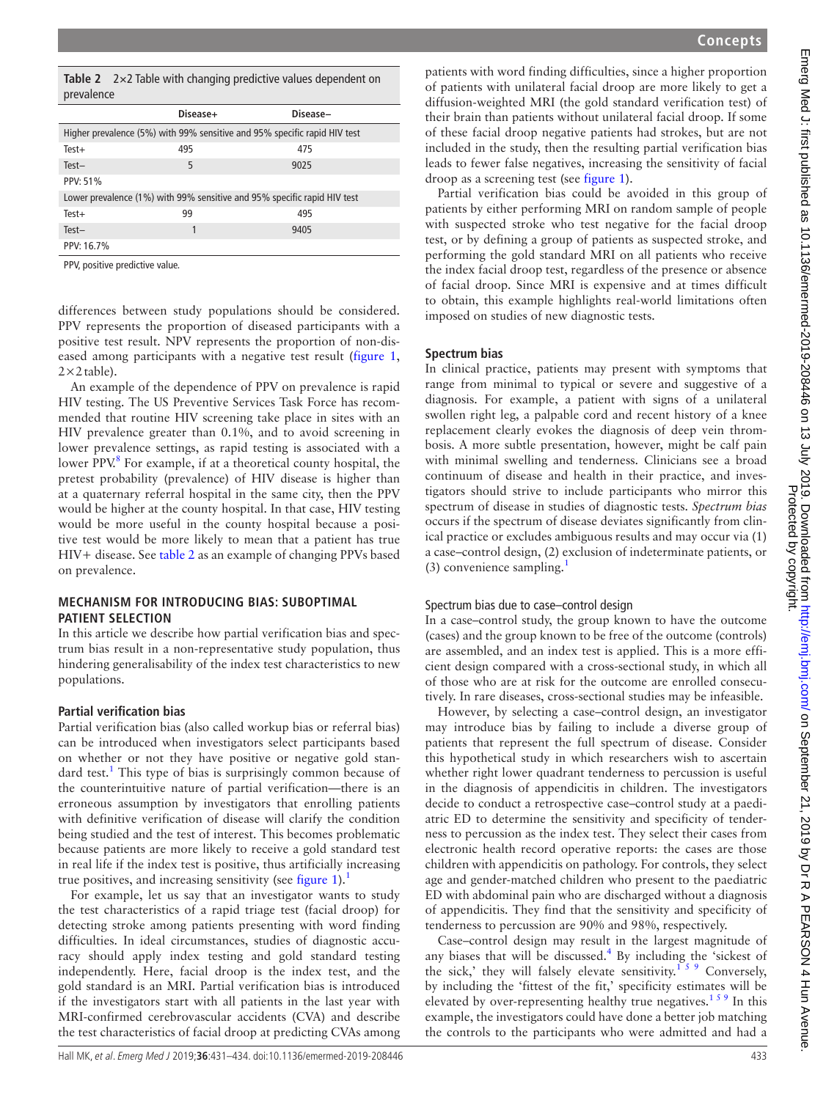<span id="page-2-0"></span>

|            | Table $2 \times 2$ Table with changing predictive values dependent on |
|------------|-----------------------------------------------------------------------|
| prevalence |                                                                       |

|                                                                           | Disease+ | Disease- |  |  |
|---------------------------------------------------------------------------|----------|----------|--|--|
| Higher prevalence (5%) with 99% sensitive and 95% specific rapid HIV test |          |          |  |  |
| $Test+$                                                                   | 495      | 475      |  |  |
| $Test-$                                                                   | 5        | 9025     |  |  |
| PPV: 51%                                                                  |          |          |  |  |
| Lower prevalence (1%) with 99% sensitive and 95% specific rapid HIV test  |          |          |  |  |
| $Test+$                                                                   | 99       | 495      |  |  |
| $Test-$                                                                   | 1        | 9405     |  |  |
| PPV: 16.7%                                                                |          |          |  |  |

PPV, positive predictive value.

differences between study populations should be considered. PPV represents the proportion of diseased participants with a positive test result. NPV represents the proportion of non-diseased among participants with a negative test result ([figure](#page-1-1) 1,  $2\times2$  table).

An example of the dependence of PPV on prevalence is rapid HIV testing. The US Preventive Services Task Force has recommended that routine HIV screening take place in sites with an HIV prevalence greater than 0.1%, and to avoid screening in lower prevalence settings, as rapid testing is associated with a lower PPV.<sup>[8](#page-3-5)</sup> For example, if at a theoretical county hospital, the pretest probability (prevalence) of HIV disease is higher than at a quaternary referral hospital in the same city, then the PPV would be higher at the county hospital. In that case, HIV testing would be more useful in the county hospital because a positive test would be more likely to mean that a patient has true HIV+ disease. See [table](#page-2-0) 2 as an example of changing PPVs based on prevalence.

## **Mechanism for introducing bias: suboptimal PATIENT SELECTION**

In this article we describe how partial verification bias and spectrum bias result in a non-representative study population, thus hindering generalisability of the index test characteristics to new populations.

## **Partial verification bias**

Partial verification bias (also called workup bias or referral bias) can be introduced when investigators select participants based on whether or not they have positive or negative gold stan-dard test.<sup>[1](#page-3-0)</sup> This type of bias is surprisingly common because of the counterintuitive nature of partial verification—there is an erroneous assumption by investigators that enrolling patients with definitive verification of disease will clarify the condition being studied and the test of interest. This becomes problematic because patients are more likely to receive a gold standard test in real life if the index test is positive, thus artificially increasing true positives, and increasing sensitivity (see [figure](#page-1-1) 1).<sup>1</sup>

For example, let us say that an investigator wants to study the test characteristics of a rapid triage test (facial droop) for detecting stroke among patients presenting with word finding difficulties. In ideal circumstances, studies of diagnostic accuracy should apply index testing and gold standard testing independently. Here, facial droop is the index test, and the gold standard is an MRI. Partial verification bias is introduced if the investigators start with all patients in the last year with MRI-confirmed cerebrovascular accidents (CVA) and describe the test characteristics of facial droop at predicting CVAs among

patients with word finding difficulties, since a higher proportion of patients with unilateral facial droop are more likely to get a diffusion-weighted MRI (the gold standard verification test) of their brain than patients without unilateral facial droop. If some of these facial droop negative patients had strokes, but are not included in the study, then the resulting partial verification bias leads to fewer false negatives, increasing the sensitivity of facial droop as a screening test (see [figure](#page-1-1) 1).

Partial verification bias could be avoided in this group of patients by either performing MRI on random sample of people with suspected stroke who test negative for the facial droop test, or by defining a group of patients as suspected stroke, and performing the gold standard MRI on all patients who receive the index facial droop test, regardless of the presence or absence of facial droop. Since MRI is expensive and at times difficult to obtain, this example highlights real-world limitations often imposed on studies of new diagnostic tests.

# **Spectrum bias**

In clinical practice, patients may present with symptoms that range from minimal to typical or severe and suggestive of a diagnosis. For example, a patient with signs of a unilateral swollen right leg, a palpable cord and recent history of a knee replacement clearly evokes the diagnosis of deep vein thrombosis. A more subtle presentation, however, might be calf pain with minimal swelling and tenderness. Clinicians see a broad continuum of disease and health in their practice, and investigators should strive to include participants who mirror this spectrum of disease in studies of diagnostic tests. *Spectrum bias* occurs if the spectrum of disease deviates significantly from clinical practice or excludes ambiguous results and may occur via (1) a case–control design, (2) exclusion of indeterminate patients, or (3) convenience sampling. $<sup>1</sup>$ </sup>

# Spectrum bias due to case–control design

In a case–control study, the group known to have the outcome (cases) and the group known to be free of the outcome (controls) are assembled, and an index test is applied. This is a more efficient design compared with a cross-sectional study, in which all of those who are at risk for the outcome are enrolled consecutively. In rare diseases, cross-sectional studies may be infeasible.

However, by selecting a case–control design, an investigator may introduce bias by failing to include a diverse group of patients that represent the full spectrum of disease. Consider this hypothetical study in which researchers wish to ascertain whether right lower quadrant tenderness to percussion is useful in the diagnosis of appendicitis in children. The investigators decide to conduct a retrospective case–control study at a paediatric ED to determine the sensitivity and specificity of tenderness to percussion as the index test. They select their cases from electronic health record operative reports: the cases are those children with appendicitis on pathology. For controls, they select age and gender-matched children who present to the paediatric ED with abdominal pain who are discharged without a diagnosis of appendicitis. They find that the sensitivity and specificity of tenderness to percussion are 90% and 98%, respectively.

Case–control design may result in the largest magnitude of any biases that will be discussed. $4$  By including the 'sickest of the sick,' they will falsely elevate sensitivity.<sup>159</sup> Conversely, by including the 'fittest of the fit,' specificity estimates will be elevated by over-representing healthy true negatives.<sup>159</sup> In this example, the investigators could have done a better job matching the controls to the participants who were admitted and had a